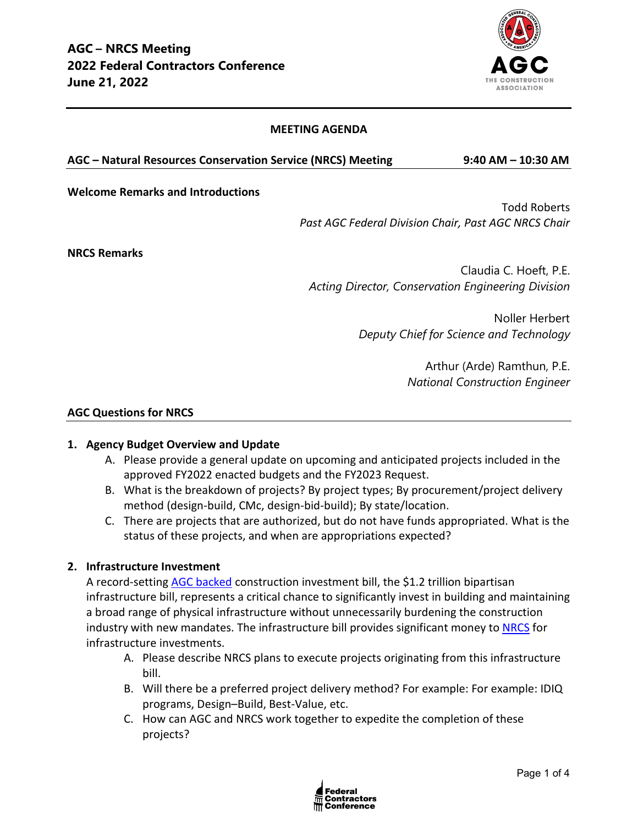

## **MEETING AGENDA**

#### **AGC – Natural Resources Conservation Service (NRCS) Meeting 9:40 AM – 10:30 AM**

#### **Welcome Remarks and Introductions**

Todd Roberts *Past AGC Federal Division Chair, Past AGC NRCS Chair*

**NRCS Remarks**

Claudia C. Hoeft, P.E. *Acting Director, Conservation Engineering Division*

> Noller Herbert *Deputy Chief for Science and Technology*

> > Arthur (Arde) Ramthun, P.E. *National Construction Engineer*

#### **AGC Questions for NRCS**

### **1. Agency Budget Overview and Update**

- A. Please provide a general update on upcoming and anticipated projects included in the approved FY2022 enacted budgets and the FY2023 Request.
- B. What is the breakdown of projects? By project types; By procurement/project delivery method (design-build, CMc, design-bid-build); By state/location.
- C. There are projects that are authorized, but do not have funds appropriated. What is the status of these projects, and when are appropriations expected?

### **2. Infrastructure Investment**

A record-setting [AGC backed](https://www.agc.org/news/2021/11/18/agc-backed-bipartisan-infrastructure-signed-law) construction investment bill, the \$1.2 trillion bipartisan infrastructure bill, represents a critical chance to significantly invest in building and maintaining a broad range of physical infrastructure without unnecessarily burdening the construction industry with new mandates. The infrastructure bill provides significant money to [NRCS](https://www.nrcs.usda.gov/wps/portal/nrcs/detail/national/programs/landscape/?cid=nrcseprd1887630) for infrastructure investments.

- A. Please describe NRCS plans to execute projects originating from this infrastructure bill.
- B. Will there be a preferred project delivery method? For example: For example: IDIQ programs, Design–Build, Best-Value, etc.
- C. How can AGC and NRCS work together to expedite the completion of these projects?

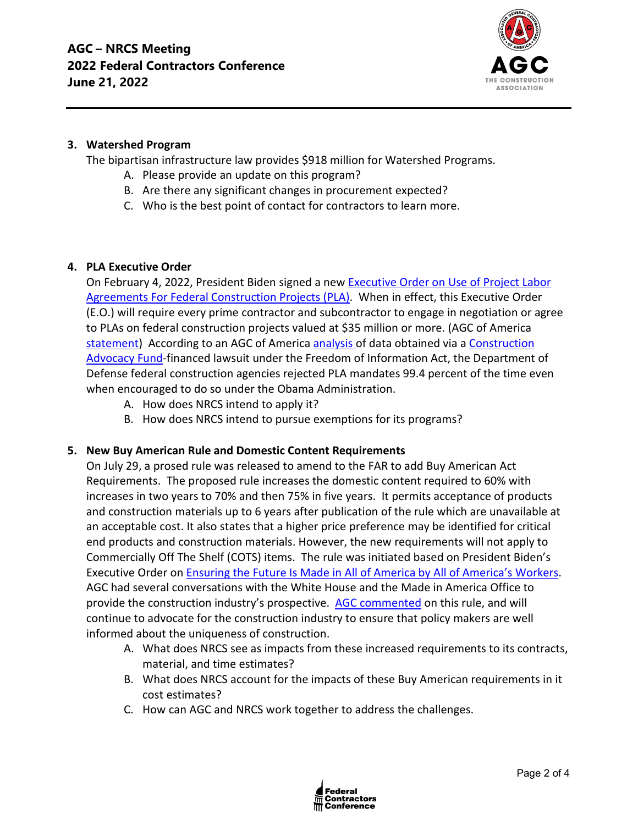

## **3. Watershed Program**

The bipartisan infrastructure law provides \$918 million for Watershed Programs.

- A. Please provide an update on this program?
- B. Are there any significant changes in procurement expected?
- C. Who is the best point of contact for contractors to learn more.

## **4. PLA Executive Order**

On February 4, 2022, President Biden signed a new [Executive Order on Use of Project Labor](https://nam12.safelinks.protection.outlook.com/?url=https%3A%2F%2Fwww.whitehouse.gov%2Fbriefing-room%2Fpresidential-actions%2F2022%2F02%2F04%2Fexecutive-order-on-use-of-project-labor-agreements-for-federal-construction-projects%2F&data=04%7C01%7Cjimmy.christianson%40agc.org%7C9a54ffe1775c4b33b2e708d9e8301d61%7C4602d740c1bb4d33b33a435efb6aa1bd%7C0%7C0%7C637796115617974723%7CUnknown%7CTWFpbGZsb3d8eyJWIjoiMC4wLjAwMDAiLCJQIjoiV2luMzIiLCJBTiI6Ik1haWwiLCJXVCI6Mn0%3D%7C3000&sdata=3UwKG%2FHFXcoGKt%2B802izNRlIVSQtUbx7E4yOMXgBSQs%3D&reserved=0)  [Agreements For Federal Construction Projects \(PLA\).](https://nam12.safelinks.protection.outlook.com/?url=https%3A%2F%2Fwww.whitehouse.gov%2Fbriefing-room%2Fpresidential-actions%2F2022%2F02%2F04%2Fexecutive-order-on-use-of-project-labor-agreements-for-federal-construction-projects%2F&data=04%7C01%7Cjimmy.christianson%40agc.org%7C9a54ffe1775c4b33b2e708d9e8301d61%7C4602d740c1bb4d33b33a435efb6aa1bd%7C0%7C0%7C637796115617974723%7CUnknown%7CTWFpbGZsb3d8eyJWIjoiMC4wLjAwMDAiLCJQIjoiV2luMzIiLCJBTiI6Ik1haWwiLCJXVCI6Mn0%3D%7C3000&sdata=3UwKG%2FHFXcoGKt%2B802izNRlIVSQtUbx7E4yOMXgBSQs%3D&reserved=0) When in effect, this Executive Order (E.O.) will require every prime contractor and subcontractor to engage in negotiation or agree to PLAs on federal construction projects valued at \$35 million or more. (AGC of America [statement\)](https://www.agc.org/news/2022/02/04/biden-order-imposing-project-labor-agreements-federal-projects-will-inflate-construction-costs) According to an AGC of Americ[a analysis o](https://www.agc.org/sites/default/files/Files/communications/New_Data_Weighs_on_Debate_Over_Project_Labor_Agreements.pdf)f data obtained via a [Construction](https://constructionadvocacyfund.agc.org/?_zs=3Onnc1&_zl=qrBB8)  [Advocacy Fund-](https://constructionadvocacyfund.agc.org/?_zs=3Onnc1&_zl=qrBB8)financed lawsuit under the Freedom of Information Act, the Department of Defense federal construction agencies rejected PLA mandates 99.4 percent of the time even when encouraged to do so under the Obama Administration.

- A. How does NRCS intend to apply it?
- B. How does NRCS intend to pursue exemptions for its programs?

# **5. New Buy American Rule and Domestic Content Requirements**

On July 29, a prosed rule was released to amend to the FAR to add Buy American Act Requirements. The proposed rule increases the domestic content required to 60% with increases in two years to 70% and then 75% in five years. It permits acceptance of products and construction materials up to 6 years after publication of the rule which are unavailable at an acceptable cost. It also states that a higher price preference may be identified for critical end products and construction materials. However, the new requirements will not apply to Commercially Off The Shelf (COTS) items. The rule was initiated based on President Biden's Executive Order o[n Ensuring the Future Is Made in All of America by All of America's Workers.](https://www.whitehouse.gov/briefing-room/presidential-actions/2021/01/25/executive-order-on-ensuring-the-future-is-made-in-all-of-america-by-all-of-americas-workers/) AGC had several conversations with the White House and the Made in America Office to provide the construction industry's prospective. [AGC commented](https://www.regulations.gov/comment/FAR-2021-0008-0008) on this rule, and will continue to advocate for the construction industry to ensure that policy makers are well informed about the uniqueness of construction.

- A. What does NRCS see as impacts from these increased requirements to its contracts, material, and time estimates?
- B. What does NRCS account for the impacts of these Buy American requirements in it cost estimates?
- C. How can AGC and NRCS work together to address the challenges.

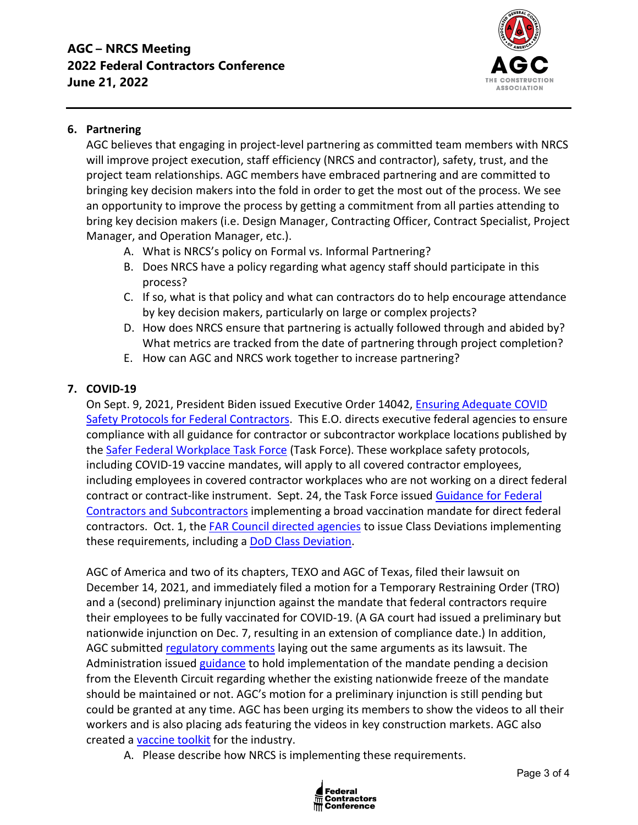

# **6. Partnering**

AGC believes that engaging in project-level partnering as committed team members with NRCS will improve project execution, staff efficiency (NRCS and contractor), safety, trust, and the project team relationships. AGC members have embraced partnering and are committed to bringing key decision makers into the fold in order to get the most out of the process. We see an opportunity to improve the process by getting a commitment from all parties attending to bring key decision makers (i.e. Design Manager, Contracting Officer, Contract Specialist, Project Manager, and Operation Manager, etc.).

- A. What is NRCS's policy on Formal vs. Informal Partnering?
- B. Does NRCS have a policy regarding what agency staff should participate in this process?
- C. If so, what is that policy and what can contractors do to help encourage attendance by key decision makers, particularly on large or complex projects?
- D. How does NRCS ensure that partnering is actually followed through and abided by? What metrics are tracked from the date of partnering through project completion?
- E. How can AGC and NRCS work together to increase partnering?

# **7. COVID-19**

On Sept. 9, 2021, President Biden issued Executive Order 14042, [Ensuring Adequate COVID](https://www.whitehouse.gov/briefing-room/presidential-actions/2021/09/09/executive-order-on-ensuring-adequate-covid-safety-protocols-for-federal-contractors/)  [Safety Protocols for Federal Contractors.](https://www.whitehouse.gov/briefing-room/presidential-actions/2021/09/09/executive-order-on-ensuring-adequate-covid-safety-protocols-for-federal-contractors/) This E.O. directs executive federal agencies to ensure compliance with all guidance for contractor or subcontractor workplace locations published by the [Safer Federal Workplace Task Force](https://www.saferfederalworkforce.gov/new/) (Task Force). These workplace safety protocols, including COVID-19 vaccine mandates, will apply to all covered contractor employees, including employees in covered contractor workplaces who are not working on a direct federal contract or contract-like instrument. Sept. 24, the Task Force issued [Guidance for Federal](https://www.saferfederalworkforce.gov/downloads/Draft%20contractor%20guidance%20doc_20210922.pdf)  [Contractors and Subcontractors](https://www.saferfederalworkforce.gov/downloads/Draft%20contractor%20guidance%20doc_20210922.pdf) implementing a broad vaccination mandate for direct federal contractors. Oct. 1, the [FAR Council directed agencies](https://www.saferfederalworkforce.gov/contractors/) to issue Class Deviations implementing these requirements, including a [DoD Class Deviation.](https://www.acq.osd.mil/dpap/policy/policyvault/USA001998-21-DPC.pdf)

AGC of America and two of its chapters, TEXO and AGC of Texas, filed their lawsuit on December 14, 2021, and immediately filed a motion for a Temporary Restraining Order (TRO) and a (second) preliminary injunction against the mandate that federal contractors require their employees to be fully vaccinated for COVID-19. (A GA court had issued a preliminary but nationwide injunction on Dec. 7, resulting in an extension of compliance date.) In addition, AGC submitted [regulatory comments](https://www.regulations.gov/comment/OMB-2021-0007-3355) laying out the same arguments as its lawsuit. The Administration issued [guidance](https://www.saferfederalworkforce.gov/contractors/) to hold implementation of the mandate pending a decision from the Eleventh Circuit regarding whether the existing nationwide freeze of the mandate should be maintained or not. AGC's motion for a preliminary injunction is still pending but could be granted at any time. AGC has been urging its members to show the videos to all their workers and is also placing ads featuring the videos in key construction markets. AGC also created a [vaccine toolkit](https://www.agc.org/covid-19-vaccine-toolkit) for the industry.

A. Please describe how NRCS is implementing these requirements.